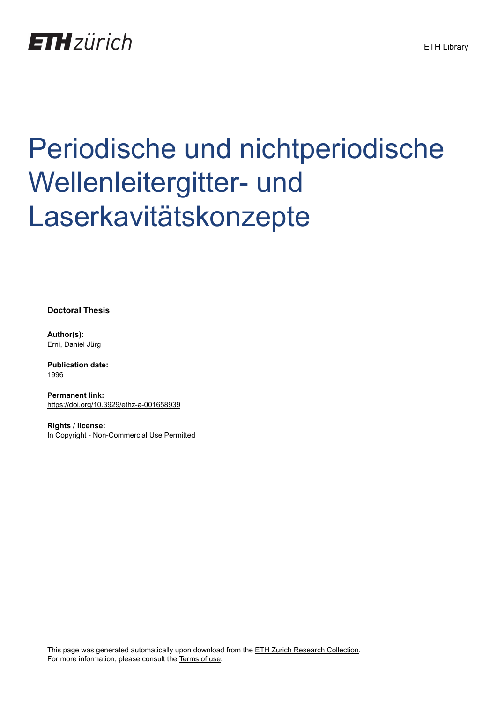

# Periodische und nichtperiodische Wellenleitergitter- und Laserkavitätskonzepte

**Doctoral Thesis**

**Author(s):** Erni, Daniel Jürg

**Publication date:** 1996

**Permanent link:** <https://doi.org/10.3929/ethz-a-001658939>

**Rights / license:** [In Copyright - Non-Commercial Use Permitted](http://rightsstatements.org/page/InC-NC/1.0/)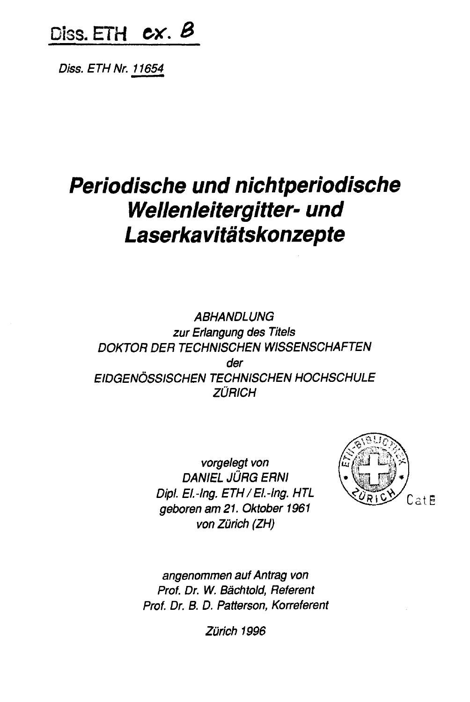Diss. ETH  $cx.$   $\beta$ 

Diss. ETH Nr. 11654

# Periodische und nichtperiodische Wellenleitergitter- und **Laserkavitätskonzepte**

ABHANDLUNG zur Erlangung des Titels DOKTOR DER TECHNISCHEN WISSENSCHAFTEN der EIDGENOSSISCHEN TECHNISCHEN HOCHSCHULE **ZÜRICH** 

> vorgelegt von DANIEL JURG ERNI Dipt. El.-lng. ETH/EI.-lng. HTL geboren am 21. Oktober <sup>1961</sup> von Zürich (ZH)



angenommen aufAntrag von Prof. Dr. W. Bachtold, Referent Prof. Dr. B. D. Patterson, Korreferent

Zürich 1996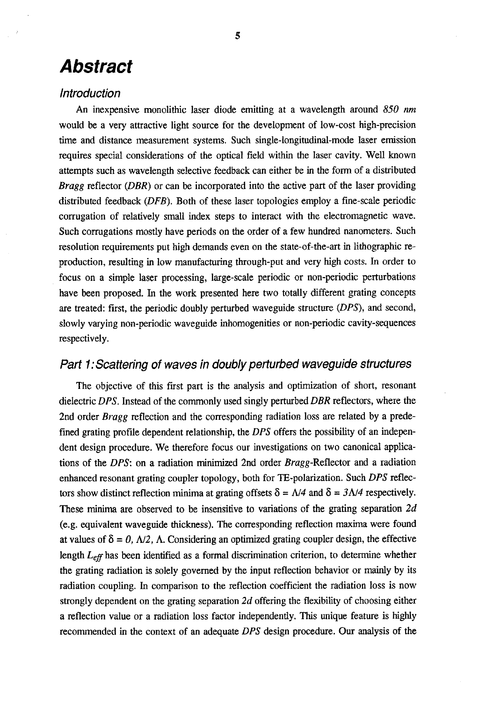### Abstract

#### Introduction

An inexpensive monolithic laser diode emitting at a wavelength around 850 nm would be <sup>a</sup> very attractive light source for the development of low-cost high-precision time and distance measurement systems. Such single-longitudinal-mode laser emission requires special considerations of the optical field within the laser cavity. Well known attempts such as wavelength selective feedback can either be in the form of <sup>a</sup> distributed *Bragg* reflector  $(DBR)$  or can be incorporated into the active part of the laser providing distributed feedback (DFB). Both of these laser topologies employ a fine-scale periodic corrugation of relatively small index steps to interact with the electromagnetic wave. Such corrugations mostly have periods on the order of <sup>a</sup> few hundred nanometers. Such resolution requirements put high demands even on the state-of-the-art in lithographic reproduction, resulting in low manufacturing through-put and very high costs. In order to focus on a simple laser processing, large-scale periodic or non-periodic perturbations have been proposed. In the work presented here two totally different grating concepts are treated: first, the periodic doubly perturbed waveguide structure (DPS), and second, slowly varying non-periodic waveguide inhomogenities or non-periodic cavity-sequences respectively.

#### Part 1: Scattering of waves in doubly perturbed waveguide structures

The objective of this first part is the analysis and optimization of short, resonant dielectric DPS. Instead of the commonly used singly perturbed DBR reflectors, where the 2nd order *Bragg* reflection and the corresponding radiation loss are related by a predefined grating profile dependent relationship, the DPS offers the possibility of an independent design procedure. We therefore focus our investigations on two canonical applications of the DPS: on a radiation minimized 2nd order Sragg-Reflector and a radiation enhanced resonant grating coupler topology, both for TE-polarization. Such DPS reflectors show distinct reflection minima at grating offsets  $\delta = \frac{\Lambda}{4}$  and  $\delta = \frac{3\Lambda}{4}$  respectively. These minima are observed to be insensitive to variations of the grating separation  $2d$ (e.g. equivalent waveguide thickness). The corresponding reflection maxima were found at values of  $\delta = 0$ ,  $\Delta/2$ ,  $\Delta$ . Considering an optimized grating coupler design, the effective length  $L_{\text{eff}}$  has been identified as a formal discrimination criterion, to determine whether the grating radiation is solely governed by the input reflection behavior or mainly by its radiation coupling. In comparison to the reflection coefficient the radiation loss is now strongly dependent on the grating separation 2d offering the flexibility of choosing either a reflection value or a radiation loss factor independently. This unique feature is highly recommended in the context of an adequate DPS design procedure. Our analysis of the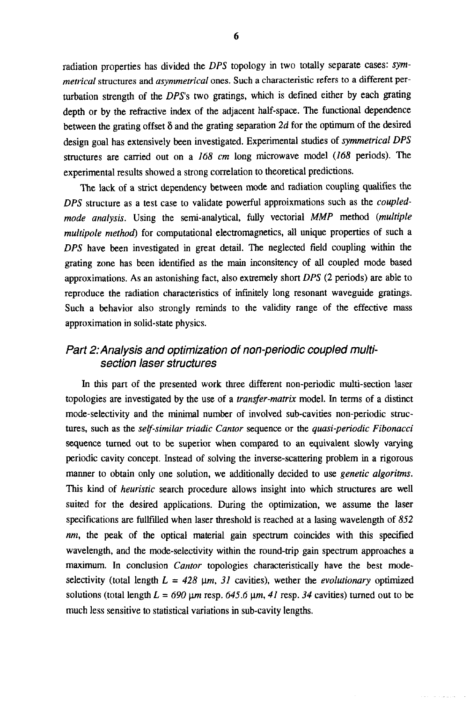radiation properties has divided the  $DPS$  topology in two totally separate cases:  $sym$ metrical structures and asymmetrical ones. Such a characteristic refers to a different perturbation strength of the DPS's two gratings, which is defined either by each grating depth or by the refractive index of the adjacent half-space. The functional dependence between the grating offset  $\delta$  and the grating separation 2d for the optimum of the desired design goal has extensively been investigated. Experimental studies of symmetrical DPS structures are carried out on <sup>a</sup> 168 cm long microwave model (168 periods). The experimental results showed <sup>a</sup> strong correlation to theoretical predictions.

The lack of <sup>a</sup> strict dependency between mode and radiation coupling qualifies the DPS structure as <sup>a</sup> test case to validate powerful approixmations such as the coupledmode analysis. Using the semi-analytical, fully vectorial MMP method (multiple multipole method) for computational electromagnetics, all unique properties of such <sup>a</sup> DPS have been investigated in great detail. The neglected field coupling within the grating zone has been identified as the main inconsitency of all coupled mode based approximations. As an astonishing fact, also extremely short DPS (2 periods) are able to reproduce the radiation characteristics of infinitely long resonant waveguide gratings. Such a behavior also strongly reminds to the validity range of the effective mass approximation in solid-state physics.

#### Part 2: Analysis and optimization of non-periodic coupled multisection laser structures

In this part of the presented work three different non-periodic multi-section laser topologies are investigated by the use of a transfer-matrix model. In terms of a distinct mode-selectivity and the minimal number of involved sub-cavities non-periodic struc tures, such as the *self-similar triadic Cantor sequence or the quasi-periodic Fibonacci* sequence turned out to be superior when compared to an equivalent slowly varying periodic cavity concept. Instead of solving the inverse-scattering problem in a rigorous manner to obtain only one solution, we additionally decided to use *genetic algoritms*. This kind of *heuristic* search procedure allows insight into which structures are well suited for the desired applications. During the optimization, we assume the laser specifications are fullfilled when laser threshold is reached at <sup>a</sup> lasing wavelength of 852 nm, the peak of the optical material gain spectrum coincides with this specified wavelength, and the mode-selectivity within the round-trip gain spectrum approaches a maximum. In conclusion *Cantor* topologies characteristically have the best modeselectivity (total length  $L = 428 \mu m$ , 31 cavities), wether the *evolutionary* optimized solutions (total length  $L = 690 \,\mu m$  resp. 645.6  $\mu m$ , 41 resp. 34 cavities) turned out to be much less sensitive to statistical variations in sub-cavity lengths.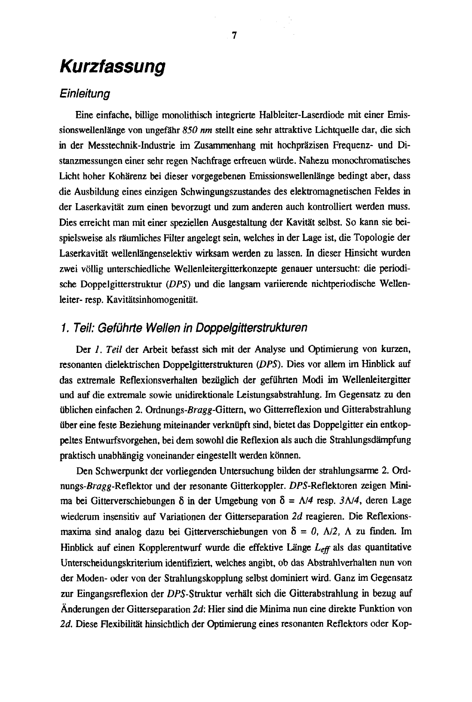## Kurzfassung

#### **Einleitung**

Eine einfache, billige monolithisch integrierte Halbleiter-Laserdiode mit einer Emissionswellenlänge von ungefähr 850 nm stellt eine sehr attraktive Lichtquelle dar, die sich in der Messtechnik-Industrie im Zusammenhang mit hochprazisen Frequenz- und Distanzmessungen einer sehr regen Nachfrage erfreuen wiirde. Nahezu monochromatisches Licht hoher Kohärenz bei dieser vorgegebenen Emissionswellenlänge bedingt aber, dass die Ausbildung eines einzigen Schwingungszustandes des elektromagnetischen Feldes in der Laserkavitat zum einen bevorzugt und zum anderen auch kontrolliert werden muss. Dies erreicht man mit einer speziellen Ausgestaltung der Kavitat selbst. So kann sie beispielsweise als raumliches Filter angelegt sein, welches in der Lage ist, die Topologie der Laserkavitat wellenlangenselektiv wirksam werden zu lassen. In dieser Hinsicht wurden zwei vollig unterschiedliche Wellenleitergitterkonzepte genauer untersucht: die periodische Doppelgitterstruktur (DPS) und die langsam variierende nichtperiodische Wellenleiter- resp. Kavitätsinhomogenität.

#### 1. Teil: Gefuhrte Wellen in Doppelgitterstrukturen

Der 1. Teil der Arbeit befasst sich mit der Analyse und Optimierung von kurzen, resonanten dielektrischen Doppelgitterstrukturen (DPS). Dies vor allem im Hinblick auf das extremale Reflexionsverhalten bezuglich der gefiihrten Modi im Wellenleitergitter und auf die extremale sowie unidirektionale Leistungsabstrahlung. Im Gegensatz zu den iiblichen einfachen 2. Ordnungs-Bragg-Gittern, wo Gitterreflexion und Gitterabstrahlung iiber eine feste Beziehung miteinander verkniipft sind, bietet das Doppelgitter ein entkoppeltes Entwurfsvorgehen, bei dem sowohl die Reflexion als auch die Strahlungsdampfung praktisch unabhängig voneinander eingestellt werden können.

Den Schwerpunkt der vorliegenden Untersuchung bilden der strahlungsarme 2. Ordnungs-Bragg-Reflektor und der resonante Gitterkoppler. DPS-Reflektoren zeigen Minima bei Gitterverschiebungen  $\delta$  in der Umgebung von  $\delta = \Lambda/4$  resp.  $3\Lambda/4$ , deren Lage wiederum insensitiv auf Variationen der Gitterseparation 2d reagieren. Die Reflexionsmaxima sind analog dazu bei Gitterverschiebungen von  $\delta = 0$ ,  $\Delta/2$ ,  $\Lambda$  zu finden. Im Hinblick auf einen Kopplerentwurf wurde die effektive Länge  $L_{\text{eff}}$  als das quantitative Unterscheidungskriterium identifiziert, welches angibt, ob das Abstrahlverhalten nun von der Moden- oder von der Strahlungskopplung selbst dominiert wird. Ganz im Gegensatz zur Eingangsreflexion der DPS-Struktur verhalt sich die Gitterabstrahlung in bezug auf Anderungen der Gitterseparation  $2d$ : Hier sind die Minima nun eine direkte Funktion von 2d. Diese Flexibilitat hinsichtlich der Optimierung eines resonanten Reflektors oder Kop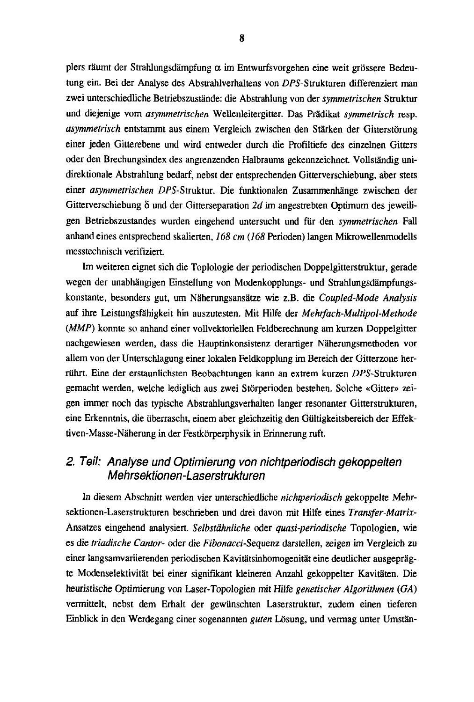plers räumt der Strahlungsdämpfung  $\alpha$  im Entwurfsvorgehen eine weit grössere Bedeutung ein. Bei der Analyse des Abstrahlverhaltens von DPS-Strukturen differenziert man zwei unterschiedliche Betriebszustände: die Abstrahlung von der symmetrischen Struktur und diejenige vom asymmetrischen Wellenleitergitter. Das Prädikat symmetrisch resp. asynimetrisch entstammt aus einem Vergleich zwischen den Starken der Gitterstorung einer jeden Gitterebene und wird entweder durch die Profiltiefe des einzelnen Gitters oder den Brechungsindex des angrenzenden Halbraums gekennzeichnet. Vollständig unidirektionale Abstrahlung bedarf, nebst der entsprechenden Gitterverschiebung, aber stets einer asymmetrischen DPS-Struktur. Die funktionalen Zusammenhänge zwischen der Gitterverschiebung  $\delta$  und der Gitterseparation 2d im angestrebten Optimum des jeweiligen Betriebszustandes wurden eingehend untersucht und für den symmetrischen Fall anhand eines entsprechend skalierten, 168 cm (168 Perioden) langen Mikrowellenmodells messtechnisch verifiziert.

Im weiteren eignet sich die Toplologie der periodischen Doppelgitterstruktur, gerade wegen der unabhangigen Einstellung von Modenkopplungs- und Strahlungsdampfungskonstante, besonders gut, um Näherungsansätze wie z.B. die Coupled-Mode Analysis auf ihre Leistungsfahigkeit hin auszutesten. Mit Hilfe der Mehrfach-Multipol-Methode (MMP) konnte so anhand einer vollvektoriellen Feldberechnung am kurzen Doppelgitter nachgewiesen werden, dass die Hauptinkonsistenz derartiger Näherungsmethoden vor allem von der Unterschlagung einer lokalen Feldkopplung im Bereich der Gitterzone herrührt. Eine der erstaunlichsten Beobachtungen kann an extrem kurzen DPS-Strukturen gemacht werden, welche lediglich aus zwei Storperioden bestehen. Solche «Gitter» zeigen immer noch das typische Abstrahlungsverhalten langer resonanter Gitterstrukturen, eine Erkenntnis, die iiberrascht, einem aber gleichzeitig den Giiltigkeitsbereich der Effektiven-Masse-Näherung in der Festkörperphysik in Erinnerung ruft.

#### 2. Teil: Analyse und Optimierung von nichtperiodisch gekoppelten Mehrsektionen-Laserstrukturen

In diesem Abschnitt werden vier unterschiedliche nichtperiodisch gekoppelte Mehrsektionen-Laserstrukturen beschrieben und drei davon mit Hilfe eines Transfer-Matrix-Ansatzes eingehend analysiert. Selbstähnliche oder quasi-periodische Topologien, wie es die triadische Cantor- oder die Fibonacci-Sequenz darstellen, zeigen im Vergleich zu einer langsamvariierenden periodischen Kavitätsinhomogenität eine deutlicher ausgeprägte Modenselektivitat bei einer signifikant kleineren Anzahl gekoppelter Kavitaten. Die heuristische Optimierung von Laser-Topologien mit Hilfe genetischer Algorithmen (GA) vermittelt, nebst dem Erhalt der gewiinschten Laserstruktur, zudem einen tieferen Einblick in den Werdegang einer sogenannten *guten* Lösung, und vermag unter Umstän